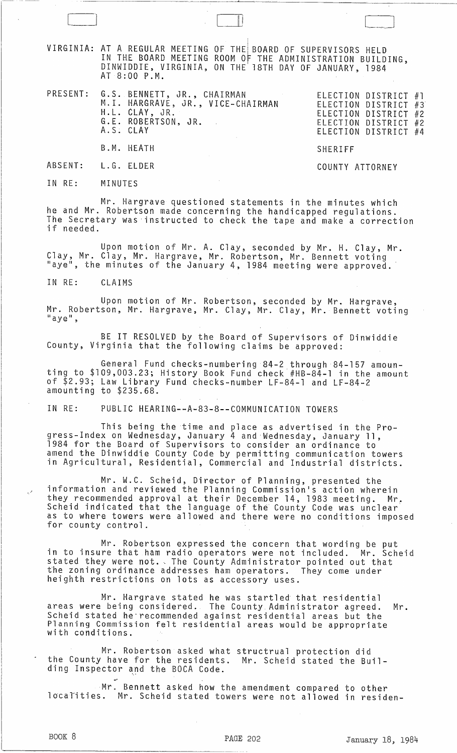VIRGINIA: AT A REGULAR MEETING IN THE BOARD MEETING DINWIDDIE, VIRGINIA, AT 8:00 P.M. OF THE BOARD OF SUPERVISORS HELD ROOM OF THE ADMINISTRATION BUILDING, ON THE 18TH DAY OF JANUARY, 1984

 $\mathbf{I}$  and  $\mathbf{I}$  is a set of  $\mathbf{I}$ 

PRESENT: G.S. BENNETT, JR., CHAIRMAN ELECTION DISTRICT #1 ELECTION DISTRICT #1<br>ELECTION DISTRICT #3 ELECTION DISTRICT #2 ELECTION DISTRICT #2 ELECTION DISTRICT #4 M.1. HARGRAVE, JR., VICE-CHAIRMAN H.L. CLAY, JR. G.E. ROBERTSON. JR. A.S. CLAY B.M. HEATH SHERIFF

COUNTY ATTORNEY

ABSENT: L.G. ELDER

IN RE: MINUTES

Mr. Hargrave questioned statements in the minutes which he and Mr. Robertson made concerning the handicapped regulations. The Secretary was 'instructed to check the tape and make a correction if needed.

Upon motion of Mr. A. Clay, seconded by Mr. H. Clay, Mr. Clay, Mr. Clay, Mr. Hargrave, Mr. Robertson, Mr. Bennett voting "aye", the minutes of the January 4, 1984 meeting were approved.

IN RE: CLAIMS

Upon motion of Mr. Robertson, seconded by Mr. Hargrave, Mr. Robertson, Mr. Hargrave, Mr. Clay, Mr. Clay, Mr. Bennett voting "aye",

BE IT RESOLVED by the Board of Supervisors of Dinwiddie County, Virginia that the following claims be approved:

General Fund checks-numbering 84-2 through 84-157 amounting to \$109,003.23; History Book Fund check #HB-84-l in the amount of \$2.93; Law Library Fund checks-number LF-84-l and LF-84-2 amounting to \$235.68.

IN RE: PUBLIC HEARING--A-83-8--COMMUNICATION TOWERS

This being the time and place as advertised in the Progress-Index on Wednesday, January 4 and Wednesday, January 11, 1984 for the Board of Supervisors to consider an ordinance to amend the Dinwiddie County Code by permitting communication towers in Agricultural, Residential, Commercial and Industrial districts.

Mr. W.C. Scheid, Director of Planning, presented the information and reviewed the Planning Commission's action wherein they recommended approval at their December 14, 1983 meeting. Mr. Scheid indicated that the language of the County Code was unclear as to where towers were allowed and there were no conditions imposed<br>for county control.

Mr. Robertson expressed the concern that wording be put in to insure that ham radio aperators were not included. Mr. Scheid stated they were not. The County Administrator pointed out that the zoning ordinance addresses ham operators. They come under heighth restrictions on lots as accessory uses.

Mr. Hargrave stated he was startled that residential areas were being considered. The County Administrator agreed. Mr. Scheid stated he recommended against residential areas but the Planning Commission felt residential areas would be appropriate with conditions.

Mr. Robertson asked what structrual protection did the County have for the residents. Mr. Scheid stated the Building Inspector and the BOCA Code.

Mr. Bennett asked how the amendment compared to other locaTities. Mr. Scheid stated towers were not allowed in residen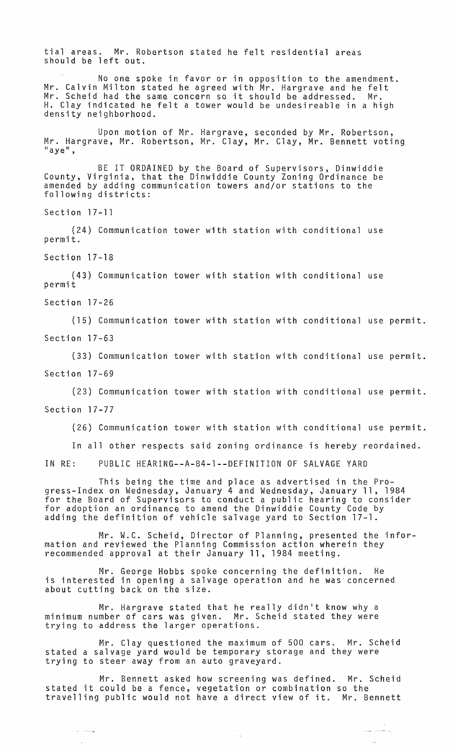tial areas. Mr. Robertson stated he felt residential areas should be left out.

No one spoke in favor or in opposition to the amendment. Mr. Calvin Milton stated he agreed with Mr. Hargrave and he felt Mr. Scheid had the same concern so it should be addressed. Mr. H. Clay indicated he felt a tower would be undesireable in a high density neighborhood.

Upon motion of Mr. Hargrave, seconded by Mr. Robertson, Mr. Hargrave, Mr. Robertson, Mr. Clay, Mr. Clay, Mr. Bennett voting<br>"aye",

BE IT ORDAINED by the Board of Supervisors, Dinwiddie County, Virginia, that the Dinwiddie County Zoning Ordinance be amended by adding communication towers and/or stations to the following districts:

Section 17-11

(24) Communication tower with station with conditional use permit.

Section 17-18

(43) Communication tower with station with conditional use permit

Section 17-26

a la manga

(15) Communication tower with station with conditional use permit. Section 17-63

(33) Communication tower with station with conditional use permit. Section 17-69

(23) Communication tower with station with conditional use permit. Section 17-77

(26) Communication tower with station with conditional use permit.

In all other respects said zoning ordinance is hereby reordained.

IN RE: PUBLIC HEARING--A-84-l--DEFINITION OF SALVAGE YARD

This being the time and place as advertised in the Progress-Index on Wednesday, January 4 and Wednesday, January 11, 1984 for the Board of Supervisors to conduct a public hearing to consider for adoption an ordinance to amend the Dinwiddie County Code by adding the definition of vehicle salvage yard to Section 17-1.

Mr. W.C. Scheid, Director of Planning, presented the information and reviewed the Planning Commission action wherein they recommended approval at their January 11, 1984 meeting.

Mr. George Hobbs spoke concerning the definition. He is interested in opening a salvage operation and he was concerned about cutting back on the size.

Mr. Hargrave stated that he really didn't know why a minimum number of cars was given. Mr. Scheid stated they were trying to address the larger operations.

Mr. Clay questioned the maximum of 500 cars. Mr. Scheid stated a salvage yard would be temporary storage and they were trying to steer away from an auto graveyard.

Mr. Bennett asked how screening was defined. Mr. Scheid stated it could be a fence, vegetation or combination so the travelling public would not have a direct view of it. Mr. Bennett

يدافعونا سابل

 $\sim$   $\sim$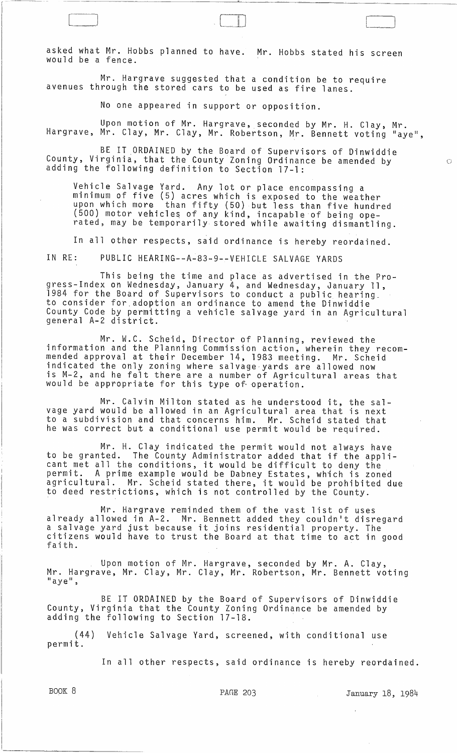asked what Mr. Hobbs planned to have. Mr. Hobbs stated his screen would be a fence.

Mr. Hargrave suggested that a condition be to require avenues through the stored cars to be used as fire lanes.

No one appeared in support or opposition.

[ [ III

Upon motion of Mr. Hargrave, seconded by Mr. H. Clay, Mr. Hargrave, Mr. Clay, Mr. Clay, Mr. Robertson, Mr. Bennett voting "aye",

BE IT ORDAINED by the Board of Supervisors of Dinwiddie County, Virginia, that the County Zoning Ordinance be amended by adding the following definition to Section 17-1:

Vehicle Salvage Yard. Any lot or place encompassing a minimum of five (5) acres which is exposed to the weather upon which more than fifty (50) but less than five hundred (500) motor vehicles of any kind, incapable of being operated, may be temporarily stored while awaiting dismantling.

In all other respects, said ordinance is hereby reordained.

IN RE: PUBLIC HEARING--A-83-9--VEHICLE SALVAGE YARDS

This being the time and place as advertised in the Progress-Index on Wednesday, January 4, and Wednesday, January 11, 1984 for the Board of Supervisors to conduct a public hearing\_ to consider for adoption an ordinance to amend the Dinwiddie County Code by permitting a vehicle salvage yard in an Agricultural<br>general A-2 district.

Mr. W.C. Scheid, Director of Planning, reviewed the information and the Planning Commission action, wherein they recommended approval at their December 14, 1983 meeting. Mr. Scheid indicated the only zoning where salvage yards are allowed now is M-2, and he felt there are a number of Agricultural areas that would be appropriate for this type of operation.

Mr. Calvin Milton stated as he understood it, the salvage yard would be allowed in an Agricultural area that is next to a subdivision and that concerns him. Mr. Scheid stated that he was correct but a conditional use permit would be required.

Mr. H. Clay indicated the permit would not always have to be granted. The County Administrator added that if the applicant met all the conditions, it would be difficult to deny the permit. A prime example would be Dabney Estates, which is zoned agricultural. Mr. Scheid stated there, it would be prohibited due to deed restrictions, which is not controlled by the County.

Mr. Hargrave reminded them of the vast list of uses already allowed in A-2. Mr. Bennett added they couldn't disregard a salvage yard just because it joins residential property. The citizens would have to trust the Board at that time to act in good faith.

Upon motion of Mr. Hargrave, seconded by Mr. A. Clay, Mr. Hargrave, Mr. Clay, Mr. Clay, Mr. Robertson, Mr. Bennett voting<br>"aye",

BE IT ORDAINED by the Board of Supervisors of Dinwiddie County, Virginia that the County Zoning Ordinance be amended by adding the following to Section 17-18. .

(44) Vehicle Salvage Yard, screened, with conditional use permit.

In all other respects, said ordinance is hereby reordained.

BOOK 8 **PAGE 203** PAGE 203 January 18, 1984

 $\subset$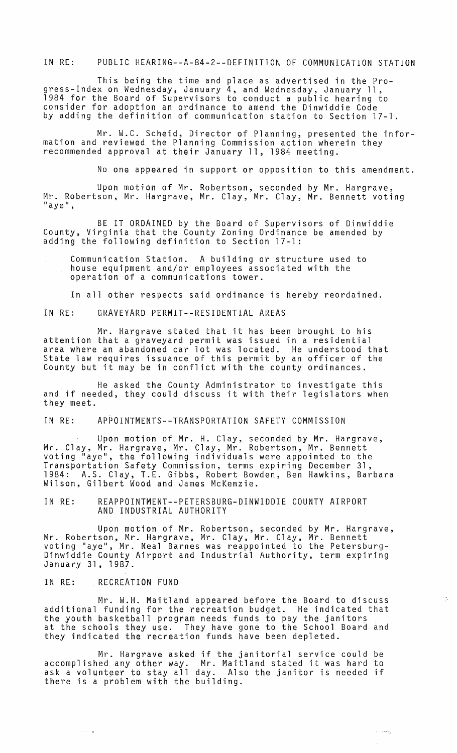IN RE: PUBLIC HEARING--A-84-2--DEFINITION OF COMMUNICATION STATION

This being the time and place as advertised in the Progress-Index on Wednesday, January 4, and Wednesday, January 11, 1984 for the Board of Supervisors to conduct a public hearing to consider for adoption an ordinance to amend the Dinwiddie Code by adding the definition of communication station to Section 17-1.

Mr. W.C. Scheid, Director of Planning, presented the information and reviewed the Planning Commission action wherein they recommended approval at their January 11, 1984 meeting.

No one appeared in support or opposition to this amendment.

Upon motion of Mr. Robertson, seconded by Mr. Hargrave, Mr. Robertson, Mr. Hargrave, Mr. Clay, Mr. Clay, Mr. Bennett voting<br>"aye",

BE IT ORDAINED by the Board of Supervisors of Dinwiddie County, Virginia that the County Zoning Ordinance be amended by adding the following definition to Section 17-1:

Communication Station. A building or structure used to house equipment and/or employees associated with the operation of a communications tower.

In all other respects said ordinance is hereby reordained.

IN RE: GRAVEYARD PERMIT--RESIDENTIAL AREAS

Mr. Hargrave stated that it has been brought to his attention that a graveyard permit was issued in a residential area where an abandoned car lot was located. He understood that State law requires issuance of this permit by an officer of the County but it may be in conflict with the county ordinances.

He asked the County Administrator to investigate this and if needed, they could discuss it with their legislators when they meet.

IN RE: APPOINTMENTS--TRANSPORTATION SAFETY COMMISSION

Upon motion of Mr. H. Clay, seconded by Mr. Hargrave, Mr. Clay, Mr. Hargrave, Mr. Clay, Mr. Robertson, Mr. Bennett voting "aye", the following individuals were appointed to the Transportation Safety Commission, terms expiring December 31, 1984: A.S. Clay, T.E. Gibbs, Robert Bowden, Ben Hawkins, Barbara Wilson, Gilbert Wood and James McKenzie.

IN RE: REAPPOINTMENT--PETERSBURG-DINWIDDIE COUNTY AIRPORT AND INDUSTRIAL AUTHORITY

Upon motion of Mr. Robertson, seconded by Mr. Hargrave, Mr. Robertson, Mr. Hargrave, Mr. Clay, Mr. Clay, Mr. Bennett voting "aye", Mr. Neal Barnes was reappointed to the Petersburg-Dinwiddie County Airport and Industrial Authority, term expiring January 31, 1987 .

## IN RE: RECREATION FUND

أأتقرأ أأتبدأ

Mr. W.H. Maitland appeared before the Board to discuss additional funding for the recreation budget. He indicated that the youth basketball program needs funds to pay the janitors at the schools they use. They have gone to the School Board and they indicated the recreation funds have been depleted.

 $\frac{1}{\sqrt{2}}$  .

 $\sim$  100  $\mu_{\rm B}$ 

Mr. Hargrave asked if the janitorial service could be accomplished any other way. Mr. Maitland stated it was hard to ask a volunteer to stay all day. Also the janitor is needed if there is a problem with the building.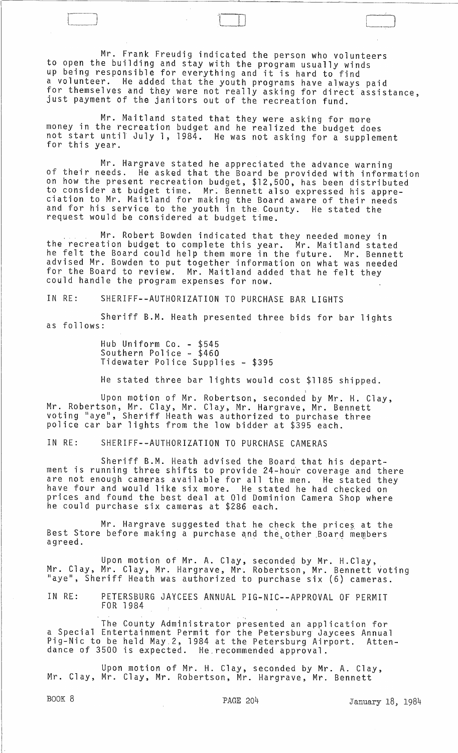Mr. Frank Freudig indicated the person who volunteers to open the building and stay with the program usually winds up being responsible for everything and it is hard to find a volunteer. He added that the youth programs have always paid for themselves and they were not really asking for direct assistance, just payment of the janitors out of the recreation fund.

 $\Box$ 

Mr. Maitland stated that they were asking for more money in the recreation budget and he realized the budget does not start until July 1, 1984. He was not asking for a supplement for this year.

Mr. Hargrave stated he appreciated the advance warning of their needs. He asked that the Board be provided with information on how the present recreation budget, \$12,500, has been distributed to consider at budget time. Mr: Bennett also expressed his appre- ciation to Mr. Maitland for making the Board aware of their needs and for his service to the youth in the County. He stated the request would be considered at budget time.

Mr. Robert Bowden indicated that they needed money in the recreation budget to complete this year. Mr. Maitland stated he felt the Board could help them more in the future. Mr. Bennett advised Mr. Bowden to put together information on what was needed for the Board to review. Mr. Maitland added that he felt they could handle the program expenses for now.

IN RE: SHERIFF--AUTHORIZATION TO PURCHASE BAR LIGHTS

Sheriff B.M. Heath presented three bids for bar lights as follows:

> Hub Uniform Co. - \$545 Southern Police - \$460 Tidewater Police Supplies - \$395

He stated three bar lights would cost \$1185 shipped.

Upon motion of Mr. Robertson, seconded by Mr. H. Clay, Mr. Robertson, Mr. Clay, Mr. Clay, Mr. Hargrave, Mr. Bennett voting "aye", Sheriff Heath was authorized to purchase three police car bar lights from the low bidder at \$395 each.

IN RE: SHERIFF--AUTHORIZATION TO PURCHASE CAMERAS

Sheriff B.M. Heath advised the Board that his department is running three shifts to provide 24-hour coverage and there are not enough cameras available for all the men. He stated they have four and would like six more. He stated he had checked on prices and found the best deal at Old Dominion Camera Shop where he could purchase six cameras at \$286 each.

Mr. Hargrave suggested that he check the prices at the Best Store before making a purchase and the other Board members agreed.

Upon motion of Mr. A. Clay, seconded by Mr. H.C1ay,. Mr. Clay, Mr. Clay, Mr. Hargrave, Mr. Robertson, Mr. Bennett voting "aye", Sheriff Heath was authorized to purchase six (6) cameras.

IN RE: PETERSBURG JAYCEES ANNUAL PIG-NIC--APPROVAL OF PERMIT FOR 1984

The County Administrator presented an application for a Special Entertainment Permit for the Petersburg Jaycees Annual Pig-Nic to be held May.2, 1984 at the Petersburg Airport. Attendance of 3500 is expected. He.recommended approval.

Upon motion of Mr. H. Clay, seconded by Mr. A. Clay, Mr. Clay, Mr. Clay, Mr. Robertson, Mr. Hargrave, Mr. Bennett

BOOK 8 **PAGE 204** PAGE 204 January 18, 1984

 $\bigg]$